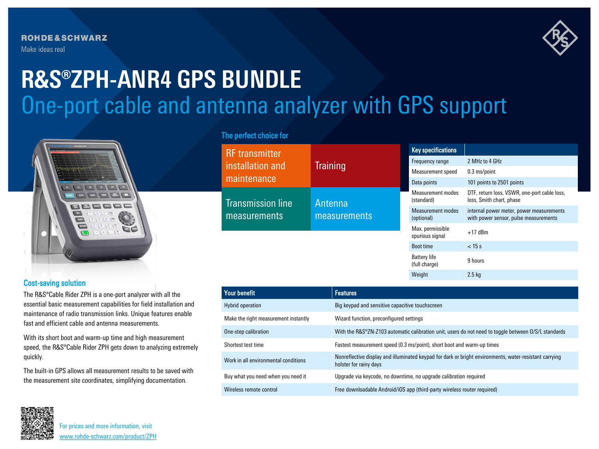**ROHDE&SCHWARZ** Make ideas real



# One-port cable and antenna analyzer with GPS support **R&S®ZPH-ANR4 GPS BUNDLE**



# Cost-saving solution

The R&S®Cable Rider ZPH is a one-port analyzer with all the essential basic measurement capabilities for field installation and maintenance of radio transmission links. Unique features enable fast and efficient cable and antenna measurements.

With its short boot and warm-up time and high measurement speed, the R&S®Cable Rider ZPH gets down to analyzing extremely quickly.

The built-in GPS allows all measurement results to be saved with the measurement site coordinates, simplifying documentation.

# The perfect choice for

R<sub>F</sub>

 $m$ 

 $m$ 

| <b>RF</b> transmitter<br>installation and<br>maintenance | <b>Training</b>                | <b>Key specifications</b>              |                                                                                   |
|----------------------------------------------------------|--------------------------------|----------------------------------------|-----------------------------------------------------------------------------------|
|                                                          |                                | Frequency range                        | 2 MHz to 4 GHz                                                                    |
|                                                          |                                | Measurement speed                      | $0.3$ ms/point                                                                    |
|                                                          |                                | Data points                            | 101 points to 2501 points                                                         |
| <b>Transmission line</b><br>measurements                 | Antenna<br><b>measurements</b> | Measurement modes<br>(standard)        | DTF, return loss, VSWR, one-port cable loss,<br>loss, Smith chart, phase          |
|                                                          |                                | <b>Measurement modes</b><br>(optional) | internal power meter, power measurements<br>with power sensor, pulse measurements |
|                                                          |                                | Max. permissible<br>spurious signal    | $+17$ dBm                                                                         |
|                                                          |                                | <b>Boot time</b>                       | $<$ 15 s                                                                          |
|                                                          |                                | <b>Battery life</b><br>(full charge)   | 9 hours                                                                           |

Weight 2.5 kg

| Your benefit                         | <b>Features</b>                                                                                                                  |
|--------------------------------------|----------------------------------------------------------------------------------------------------------------------------------|
| Hybrid operation                     | Big keypad and sensitive capacitive touchscreen                                                                                  |
| Make the right measurement instantly | Wizard function, preconfigured settings                                                                                          |
| One-step calibration                 | With the R&S®ZN-Z103 automatic calibration unit, users do not need to toggle between O/S/L standards                             |
| Shortest test time                   | Fastest measurement speed (0.3 ms/point), short boot and warm-up times                                                           |
| Work in all environmental conditions | Nonreflective display and illuminated keypad for dark or bright environments, water-resistant carrying<br>holster for rainy days |
| Buy what you need when you need it   | Upgrade via keycode, no downtime, no upgrade calibration required                                                                |
| Wireless remote control              | Free downloadable Android/iOS app (third-party wireless router required)                                                         |



For prices and more information, visit [www.rohde-schwarz.com/product/ZPH](http://www.rohde-schwarz.com/product/ZPH?cid=744_com_qr_190_Marcom_20-03_i__Factsheet_printmag_text-ad___Web_)